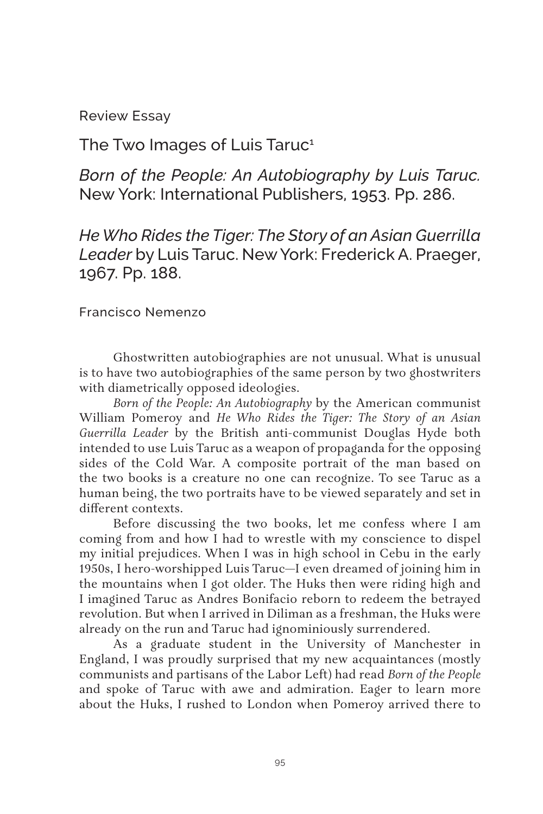Review Essay

The Two Images of Luis Taruc<sup>1</sup>

*Born of the People: An Autobiography by Luis Taruc.*  New York: International Publishers, 1953. Pp. 286.

*He Who Rides the Tiger: The Story of an Asian Guerrilla Leader* by Luis Taruc. New York: Frederick A. Praeger, 1967. Pp. 188.

Francisco Nemenzo

Ghostwritten autobiographies are not unusual. What is unusual is to have two autobiographies of the same person by two ghostwriters with diametrically opposed ideologies.

*Born of the People: An Autobiography* by the American communist William Pomeroy and *He Who Rides the Tiger: The Story of an Asian Guerrilla Leader* by the British anti-communist Douglas Hyde both intended to use Luis Taruc as a weapon of propaganda for the opposing sides of the Cold War. A composite portrait of the man based on the two books is a creature no one can recognize. To see Taruc as a human being, the two portraits have to be viewed separately and set in different contexts.

Before discussing the two books, let me confess where I am coming from and how I had to wrestle with my conscience to dispel my initial prejudices. When I was in high school in Cebu in the early 1950s, I hero-worshipped Luis Taruc—I even dreamed of joining him in the mountains when I got older. The Huks then were riding high and I imagined Taruc as Andres Bonifacio reborn to redeem the betrayed revolution. But when I arrived in Diliman as a freshman, the Huks were already on the run and Taruc had ignominiously surrendered.

As a graduate student in the University of Manchester in England, I was proudly surprised that my new acquaintances (mostly communists and partisans of the Labor Left) had read *Born of the People*  and spoke of Taruc with awe and admiration. Eager to learn more about the Huks, I rushed to London when Pomeroy arrived there to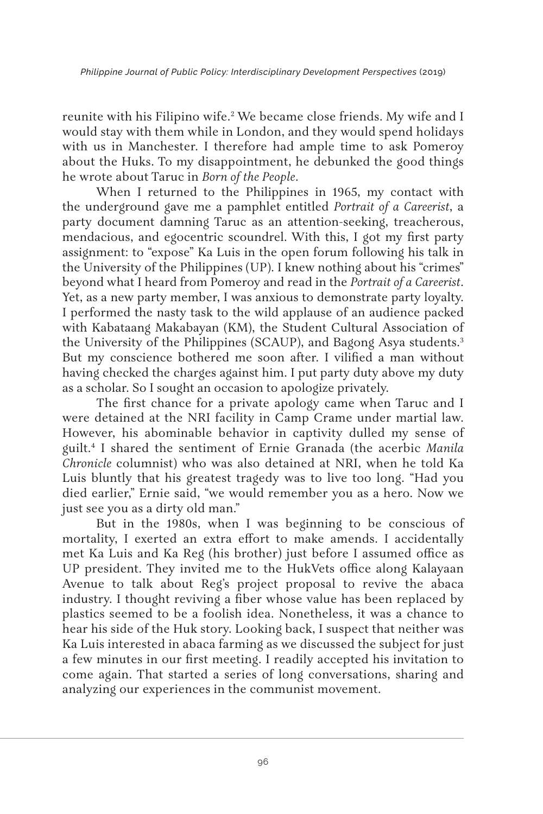reunite with his Filipino wife.<sup>2</sup> We became close friends. My wife and I would stay with them while in London, and they would spend holidays with us in Manchester. I therefore had ample time to ask Pomeroy about the Huks. To my disappointment, he debunked the good things he wrote about Taruc in *Born of the People*.

When I returned to the Philippines in 1965, my contact with the underground gave me a pamphlet entitled *Portrait of a Careerist*, a party document damning Taruc as an attention-seeking, treacherous, mendacious, and egocentric scoundrel. With this, I got my first party assignment: to "expose" Ka Luis in the open forum following his talk in the University of the Philippines (UP). I knew nothing about his "crimes" beyond what I heard from Pomeroy and read in the *Portrait of a Careerist*. Yet, as a new party member, I was anxious to demonstrate party loyalty. I performed the nasty task to the wild applause of an audience packed with Kabataang Makabayan (KM), the Student Cultural Association of the University of the Philippines (SCAUP), and Bagong Asya students.<sup>3</sup> But my conscience bothered me soon after. I vilified a man without having checked the charges against him. I put party duty above my duty as a scholar. So I sought an occasion to apologize privately.

The first chance for a private apology came when Taruc and I were detained at the NRI facility in Camp Crame under martial law. However, his abominable behavior in captivity dulled my sense of guilt.4 I shared the sentiment of Ernie Granada (the acerbic *Manila Chronicle* columnist) who was also detained at NRI, when he told Ka Luis bluntly that his greatest tragedy was to live too long. "Had you died earlier," Ernie said, "we would remember you as a hero. Now we just see you as a dirty old man."

But in the 1980s, when I was beginning to be conscious of mortality, I exerted an extra effort to make amends. I accidentally met Ka Luis and Ka Reg (his brother) just before I assumed office as UP president. They invited me to the HukVets office along Kalayaan Avenue to talk about Reg's project proposal to revive the abaca industry. I thought reviving a fiber whose value has been replaced by plastics seemed to be a foolish idea. Nonetheless, it was a chance to hear his side of the Huk story. Looking back, I suspect that neither was Ka Luis interested in abaca farming as we discussed the subject for just a few minutes in our first meeting. I readily accepted his invitation to come again. That started a series of long conversations, sharing and analyzing our experiences in the communist movement.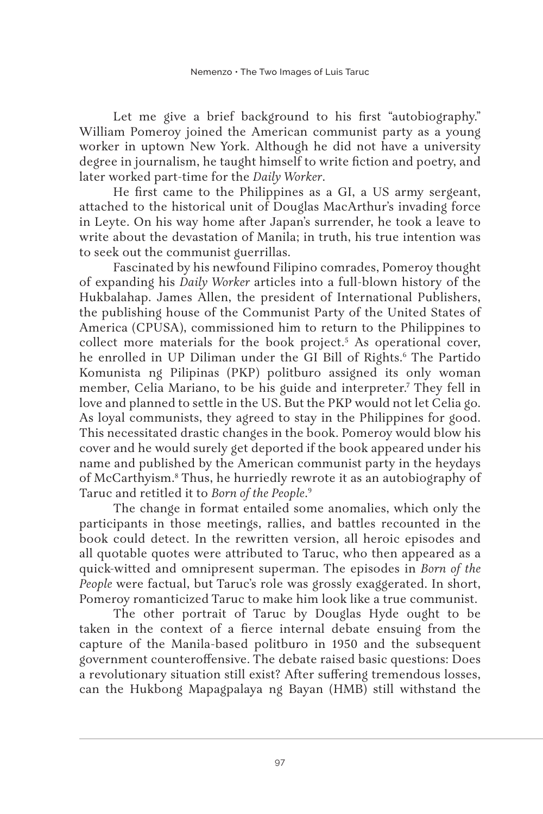Let me give a brief background to his first "autobiography." William Pomeroy joined the American communist party as a young worker in uptown New York. Although he did not have a university degree in journalism, he taught himself to write fiction and poetry, and later worked part-time for the *Daily Worker*.

He first came to the Philippines as a GI, a US army sergeant, attached to the historical unit of Douglas MacArthur's invading force in Leyte. On his way home after Japan's surrender, he took a leave to write about the devastation of Manila; in truth, his true intention was to seek out the communist guerrillas.

Fascinated by his newfound Filipino comrades, Pomeroy thought of expanding his *Daily Worker* articles into a full-blown history of the Hukbalahap. James Allen, the president of International Publishers, the publishing house of the Communist Party of the United States of America (CPUSA), commissioned him to return to the Philippines to collect more materials for the book project.<sup>5</sup> As operational cover, he enrolled in UP Diliman under the GI Bill of Rights.6 The Partido Komunista ng Pilipinas (PKP) politburo assigned its only woman member, Celia Mariano, to be his guide and interpreter.7 They fell in love and planned to settle in the US. But the PKP would not let Celia go. As loyal communists, they agreed to stay in the Philippines for good. This necessitated drastic changes in the book. Pomeroy would blow his cover and he would surely get deported if the book appeared under his name and published by the American communist party in the heydays of McCarthyism.8 Thus, he hurriedly rewrote it as an autobiography of Taruc and retitled it to *Born of the People*. 9

The change in format entailed some anomalies, which only the participants in those meetings, rallies, and battles recounted in the book could detect. In the rewritten version, all heroic episodes and all quotable quotes were attributed to Taruc, who then appeared as a quick-witted and omnipresent superman. The episodes in *Born of the People* were factual, but Taruc's role was grossly exaggerated. In short, Pomeroy romanticized Taruc to make him look like a true communist.

The other portrait of Taruc by Douglas Hyde ought to be taken in the context of a fierce internal debate ensuing from the capture of the Manila-based politburo in 1950 and the subsequent government counteroffensive. The debate raised basic questions: Does a revolutionary situation still exist? After suffering tremendous losses, can the Hukbong Mapagpalaya ng Bayan (HMB) still withstand the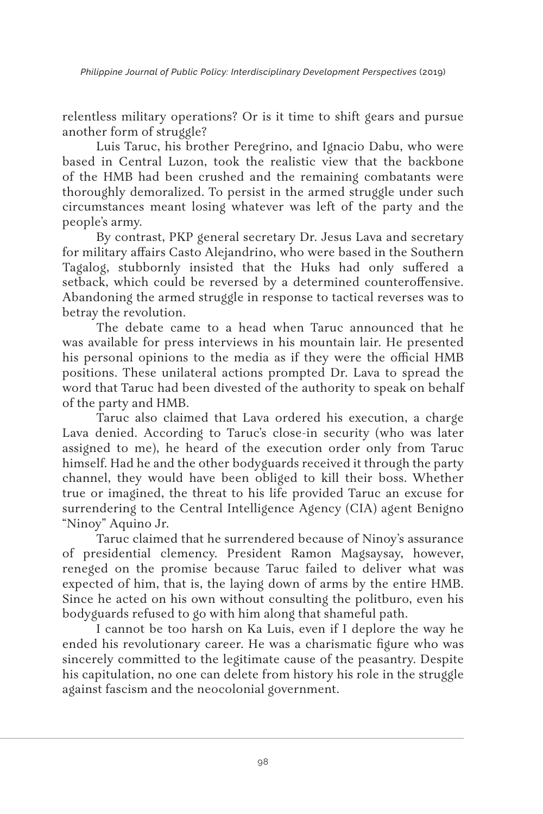relentless military operations? Or is it time to shift gears and pursue another form of struggle?

Luis Taruc, his brother Peregrino, and Ignacio Dabu, who were based in Central Luzon, took the realistic view that the backbone of the HMB had been crushed and the remaining combatants were thoroughly demoralized. To persist in the armed struggle under such circumstances meant losing whatever was left of the party and the people's army.

By contrast, PKP general secretary Dr. Jesus Lava and secretary for military affairs Casto Alejandrino, who were based in the Southern Tagalog, stubbornly insisted that the Huks had only suffered a setback, which could be reversed by a determined counteroffensive. Abandoning the armed struggle in response to tactical reverses was to betray the revolution.

The debate came to a head when Taruc announced that he was available for press interviews in his mountain lair. He presented his personal opinions to the media as if they were the official HMB positions. These unilateral actions prompted Dr. Lava to spread the word that Taruc had been divested of the authority to speak on behalf of the party and HMB.

Taruc also claimed that Lava ordered his execution, a charge Lava denied. According to Taruc's close-in security (who was later assigned to me), he heard of the execution order only from Taruc himself. Had he and the other bodyguards received it through the party channel, they would have been obliged to kill their boss. Whether true or imagined, the threat to his life provided Taruc an excuse for surrendering to the Central Intelligence Agency (CIA) agent Benigno "Ninoy" Aquino Jr.

Taruc claimed that he surrendered because of Ninoy's assurance of presidential clemency. President Ramon Magsaysay, however, reneged on the promise because Taruc failed to deliver what was expected of him, that is, the laying down of arms by the entire HMB. Since he acted on his own without consulting the politburo, even his bodyguards refused to go with him along that shameful path.

I cannot be too harsh on Ka Luis, even if I deplore the way he ended his revolutionary career. He was a charismatic figure who was sincerely committed to the legitimate cause of the peasantry. Despite his capitulation, no one can delete from history his role in the struggle against fascism and the neocolonial government.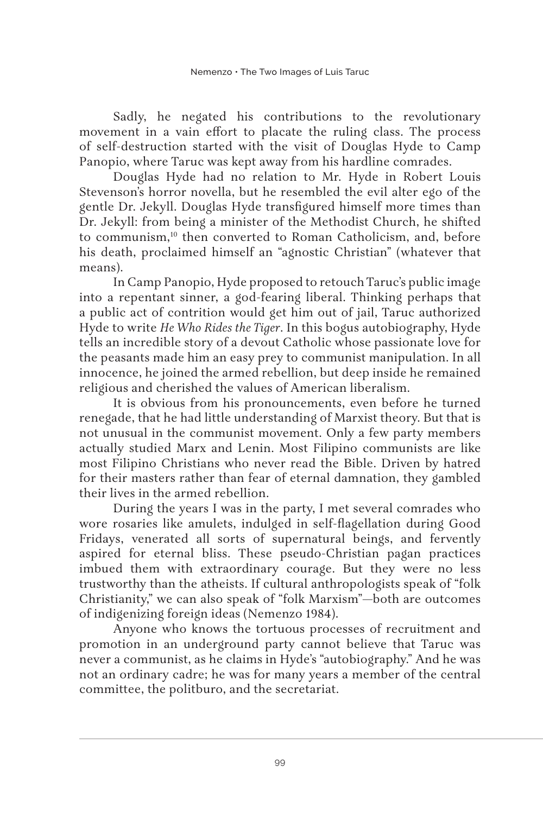Sadly, he negated his contributions to the revolutionary movement in a vain effort to placate the ruling class. The process of self-destruction started with the visit of Douglas Hyde to Camp Panopio, where Taruc was kept away from his hardline comrades.

Douglas Hyde had no relation to Mr. Hyde in Robert Louis Stevenson's horror novella, but he resembled the evil alter ego of the gentle Dr. Jekyll. Douglas Hyde transfigured himself more times than Dr. Jekyll: from being a minister of the Methodist Church, he shifted to communism,<sup>10</sup> then converted to Roman Catholicism, and, before his death, proclaimed himself an "agnostic Christian" (whatever that means).

In Camp Panopio, Hyde proposed to retouch Taruc's public image into a repentant sinner, a god-fearing liberal. Thinking perhaps that a public act of contrition would get him out of jail, Taruc authorized Hyde to write *He Who Rides the Tiger*. In this bogus autobiography, Hyde tells an incredible story of a devout Catholic whose passionate love for the peasants made him an easy prey to communist manipulation. In all innocence, he joined the armed rebellion, but deep inside he remained religious and cherished the values of American liberalism.

It is obvious from his pronouncements, even before he turned renegade, that he had little understanding of Marxist theory. But that is not unusual in the communist movement. Only a few party members actually studied Marx and Lenin. Most Filipino communists are like most Filipino Christians who never read the Bible. Driven by hatred for their masters rather than fear of eternal damnation, they gambled their lives in the armed rebellion.

During the years I was in the party, I met several comrades who wore rosaries like amulets, indulged in self-flagellation during Good Fridays, venerated all sorts of supernatural beings, and fervently aspired for eternal bliss. These pseudo-Christian pagan practices imbued them with extraordinary courage. But they were no less trustworthy than the atheists. If cultural anthropologists speak of "folk Christianity," we can also speak of "folk Marxism"—both are outcomes of indigenizing foreign ideas (Nemenzo 1984).

Anyone who knows the tortuous processes of recruitment and promotion in an underground party cannot believe that Taruc was never a communist, as he claims in Hyde's "autobiography." And he was not an ordinary cadre; he was for many years a member of the central committee, the politburo, and the secretariat.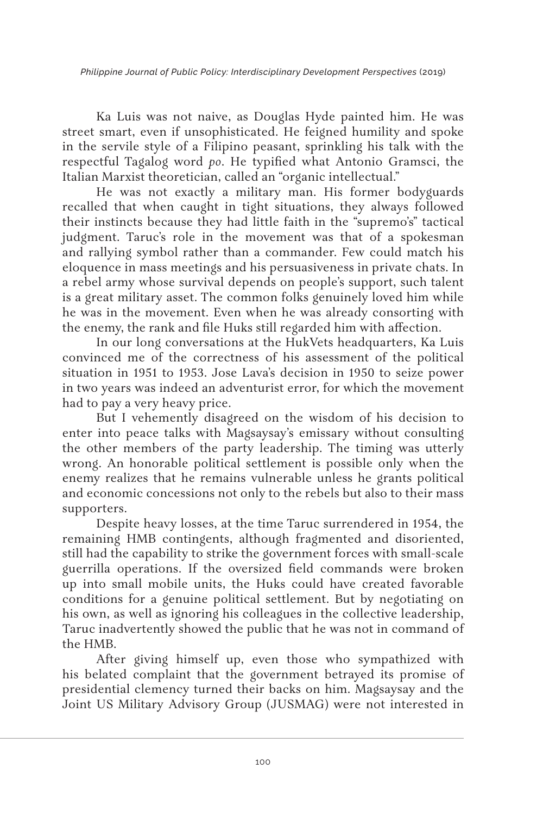*Philippine Journal of Public Policy: Interdisciplinary Development Perspectives* (2019)

Ka Luis was not naive, as Douglas Hyde painted him. He was street smart, even if unsophisticated. He feigned humility and spoke in the servile style of a Filipino peasant, sprinkling his talk with the respectful Tagalog word *po*. He typified what Antonio Gramsci, the Italian Marxist theoretician, called an "organic intellectual."

He was not exactly a military man. His former bodyguards recalled that when caught in tight situations, they always followed their instincts because they had little faith in the "supremo's" tactical judgment. Taruc's role in the movement was that of a spokesman and rallying symbol rather than a commander. Few could match his eloquence in mass meetings and his persuasiveness in private chats. In a rebel army whose survival depends on people's support, such talent is a great military asset. The common folks genuinely loved him while he was in the movement. Even when he was already consorting with the enemy, the rank and file Huks still regarded him with affection.

In our long conversations at the HukVets headquarters, Ka Luis convinced me of the correctness of his assessment of the political situation in 1951 to 1953. Jose Lava's decision in 1950 to seize power in two years was indeed an adventurist error, for which the movement had to pay a very heavy price.

But I vehemently disagreed on the wisdom of his decision to enter into peace talks with Magsaysay's emissary without consulting the other members of the party leadership. The timing was utterly wrong. An honorable political settlement is possible only when the enemy realizes that he remains vulnerable unless he grants political and economic concessions not only to the rebels but also to their mass supporters.

Despite heavy losses, at the time Taruc surrendered in 1954, the remaining HMB contingents, although fragmented and disoriented, still had the capability to strike the government forces with small-scale guerrilla operations. If the oversized field commands were broken up into small mobile units, the Huks could have created favorable conditions for a genuine political settlement. But by negotiating on his own, as well as ignoring his colleagues in the collective leadership, Taruc inadvertently showed the public that he was not in command of the HMB.

After giving himself up, even those who sympathized with his belated complaint that the government betrayed its promise of presidential clemency turned their backs on him. Magsaysay and the Joint US Military Advisory Group (JUSMAG) were not interested in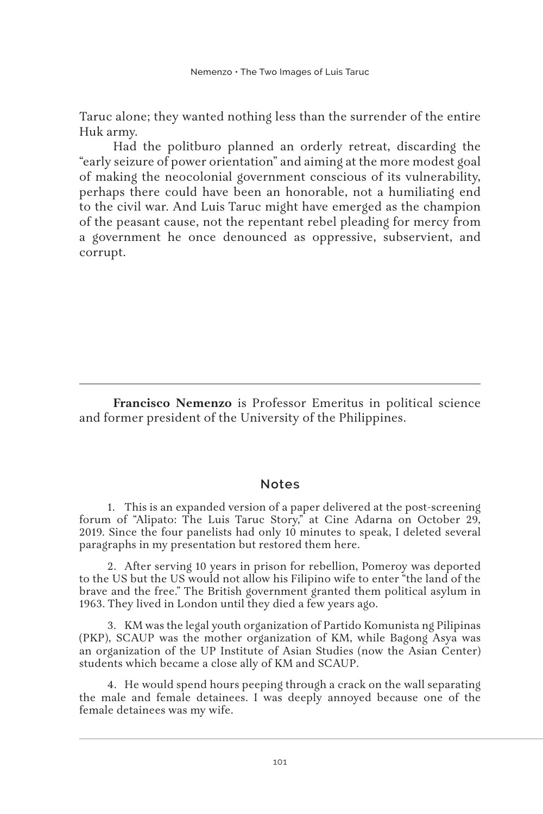Taruc alone; they wanted nothing less than the surrender of the entire Huk army.

Had the politburo planned an orderly retreat, discarding the "early seizure of power orientation" and aiming at the more modest goal of making the neocolonial government conscious of its vulnerability, perhaps there could have been an honorable, not a humiliating end to the civil war. And Luis Taruc might have emerged as the champion of the peasant cause, not the repentant rebel pleading for mercy from a government he once denounced as oppressive, subservient, and corrupt.

**Francisco Nemenzo** is Professor Emeritus in political science and former president of the University of the Philippines.

## **Notes**

1. This is an expanded version of a paper delivered at the post-screening forum of "Alipato: The Luis Taruc Story," at Cine Adarna on October 29, 2019. Since the four panelists had only 10 minutes to speak, I deleted several paragraphs in my presentation but restored them here.

2. After serving 10 years in prison for rebellion, Pomeroy was deported to the US but the US would not allow his Filipino wife to enter "the land of the brave and the free." The British government granted them political asylum in 1963. They lived in London until they died a few years ago.

3. KM was the legal youth organization of Partido Komunista ng Pilipinas (PKP), SCAUP was the mother organization of KM, while Bagong Asya was an organization of the UP Institute of Asian Studies (now the Asian Center) students which became a close ally of KM and SCAUP.

4. He would spend hours peeping through a crack on the wall separating the male and female detainees. I was deeply annoyed because one of the female detainees was my wife.